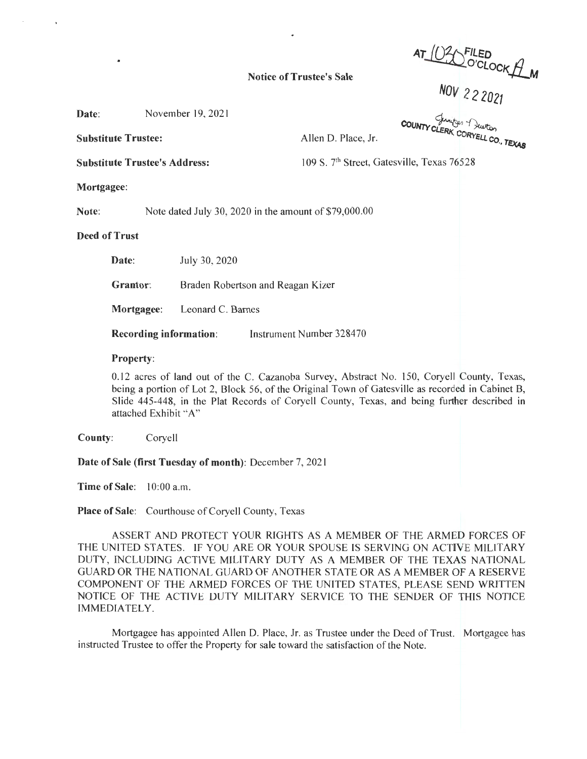*AT IQ1.J,FILED*  ~O'CLocKjj\_M

## Notice of Trustee's Sale

Nov 2 2 2021

| Date: | November 19, 2021 |  |
|-------|-------------------|--|
|-------|-------------------|--|

Substitute Trustee: Allen D. Place, Jr.

**COUNTY CLERK** p, *Tutto,*<br>CORYELL CO., **TEXAS** 

Substitute Trustee's Address: 109 S. 7<sup>th</sup> Street, Gatesville, Texas 76528

**Mortgagee:** 

**Note:** Note dated July 30, 2020 in the amount of \$79,000.00

**Deed of Trust** 

**Date:** July 30, 2020

**Grantor:** Braden Robertson and Reagan Kizer

**Mortgagee:** Leonard C. Barnes

**Recording information:** Instrument Number 328470

## **Property:**

0.12 acres of land out of the C. Cazanoba Survey, Abstract No. 150, Coryell County, Texas, being a portion of Lot 2, Block 56, of the Original Town of Gatesville as recorded in Cabinet B, Slide 445-448, in the Plat Records of Coryell County, Texas, and being further described in attached Exhibit "A"

**County:** Coryell

**Date of Sale (first Tuesday of month):** December 7, 2021

**Time of Sale:** 10:00 a.m.

**Place of Sale:** Courthouse of Coryell County, Texas

ASSERT AND PROTECT YOUR RIGHTS AS A MEMBER OF THE ARMED FORCES OF THE UNITED STATES. IF YOU ARE OR YOUR SPOUSE IS SERVING ON ACTIVE MILITARY DUTY, INCLUDING ACTIVE MILITARY DUTY AS A MEMBER OF THE TEXAS NATIONAL GUARD OR THE NATIONAL GUARD OF ANOTHER STATE OR AS A MEMBER OF A RESERVE COMPONENT OF THE ARMED FORCES OF THE UNITED STATES, PLEASE SEND WRITTEN NOTICE OF THE ACTIVE DUTY MILITARY SERVICE TO THE SENDER OF THIS NOTICE IMMEDIATELY.

Mortgagee has appointed Allen D. Place, Jr. as Trustee under the Deed of Trust. Mortgagee has instructed Trustee to offer the Property for sale toward the satisfaction of the Note.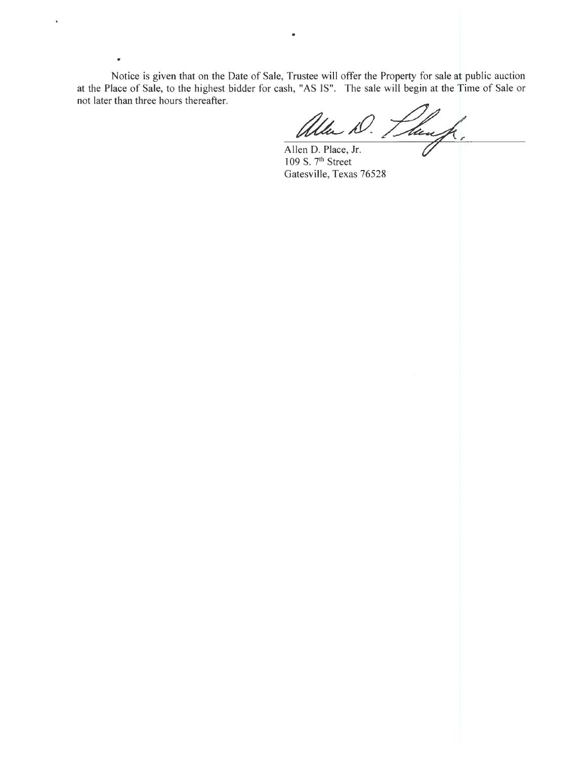Notice is given that on the Date of Sale, Trustee will offer the Property for sale at public auction at the Place of Sale, to the highest bidder for cash, "AS IS". The sale will begin at the Time of Sale or not later than three hours thereafter.

..

•

Allen D. Planf.

Allen D. Place, Jr. 109 S.  $7<sup>th</sup>$  Street Gatesville, Texas 76528